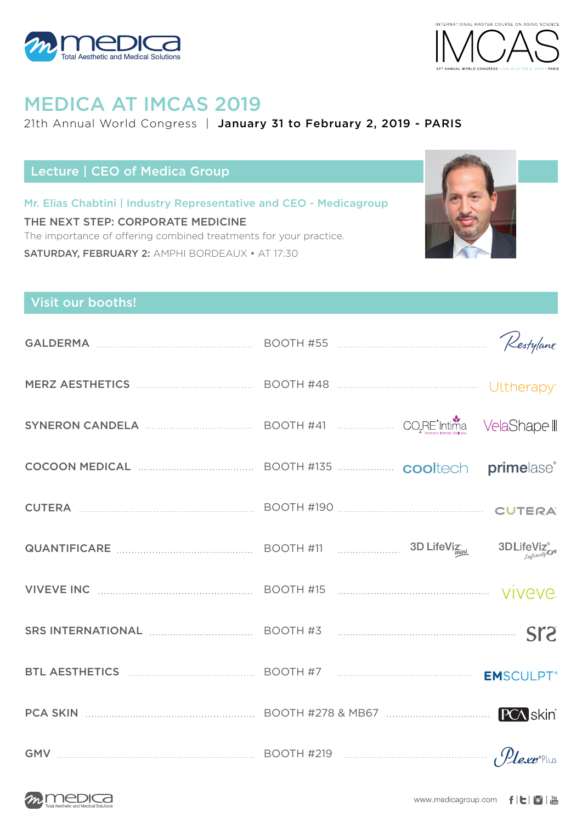



# MEDICA AT IMCAS 2019

### 21th Annual World Congress | January 31 to February 2, 2019 - PARIS

## Lecture | CEO of Medica Group

Mr. Elias Chabtini | Industry Representative and CEO - Medicagroup THE NEXT STEP: CORPORATE MEDICINE The importance of offering combined treatments for your practice. SATURDAY, FEBRUARY 2: AMPHI BORDEAUX • AT 17:30



## Visit our booths!

| MERZ AESTHETICS <b>MERZ AESTHETICS MERZ AESTHETICS MERZ AESTHETICS</b>                          |  |  |
|-------------------------------------------------------------------------------------------------|--|--|
| SYNERON CANDELA <b>CONSUMERS</b> BOOTH #41 <b>CONSUMERS</b> CO <sub>2</sub> RE Intima VelaShape |  |  |
| COCOON MEDICAL <b>COCOON MEDICAL EXAMPLE ACCOOL</b> BOOTH #135                                  |  |  |
|                                                                                                 |  |  |
|                                                                                                 |  |  |
| VIVEVE INC <b>MARKE INC EXAMPLE THE REPORT ASSESSED BOOTH #15</b>                               |  |  |
| SRS INTERNATIONAL <b>EXAMPLE 2</b> BOOTH #3 <b>EXAMPLE 2</b> BOOTH #3                           |  |  |
| BTL AESTHETICS MARKER AND BOOTH #7 MARKET MARKED DISTURBANCE EMSCULPT                           |  |  |
|                                                                                                 |  |  |
| GMV $\frac{9}{2}$ BOOTH #219                                                                    |  |  |